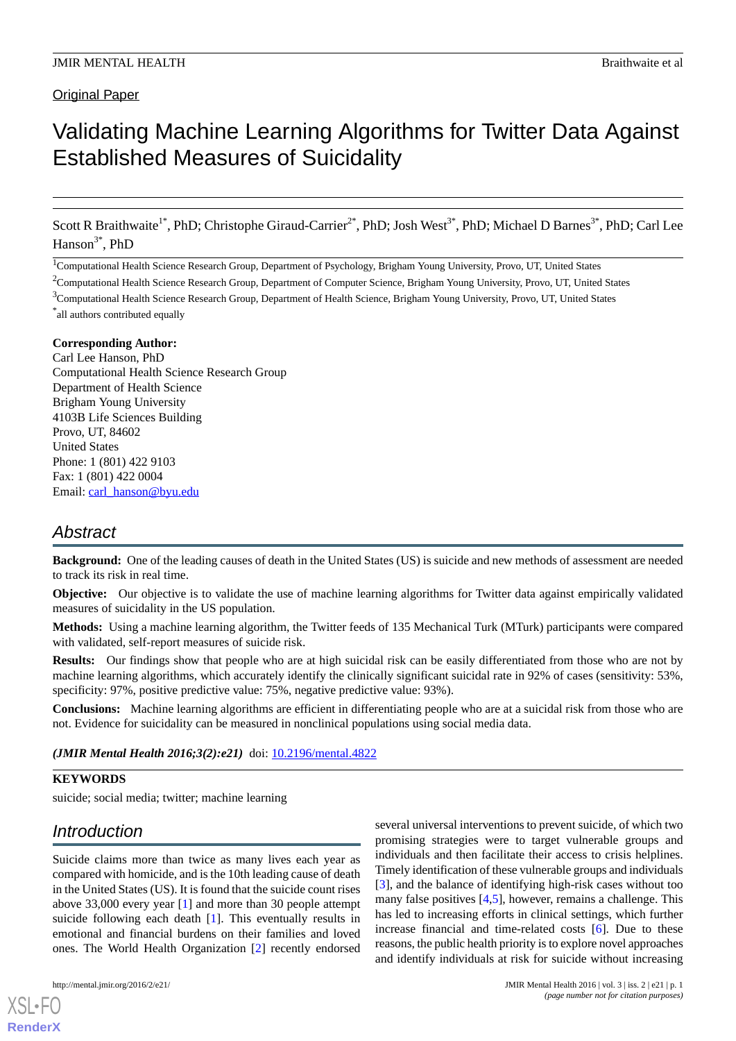### **Original Paper**

# Validating Machine Learning Algorithms for Twitter Data Against Established Measures of Suicidality

Scott R Braithwaite<sup>1\*</sup>, PhD; Christophe Giraud-Carrier<sup>2\*</sup>, PhD; Josh West<sup>3\*</sup>, PhD; Michael D Barnes<sup>3\*</sup>, PhD; Carl Lee  $Hanson<sup>3*</sup>, PhD$ 

<sup>1</sup>Computational Health Science Research Group, Department of Psychology, Brigham Young University, Provo, UT, United States

<sup>2</sup>Computational Health Science Research Group, Department of Computer Science, Brigham Young University, Provo, UT, United States  $3$ Computational Health Science Research Group, Department of Health Science, Brigham Young University, Provo, UT, United States

### **Corresponding Author:**

Carl Lee Hanson, PhD Computational Health Science Research Group Department of Health Science Brigham Young University 4103B Life Sciences Building Provo, UT, 84602 United States Phone: 1 (801) 422 9103 Fax: 1 (801) 422 0004 Email: [carl\\_hanson@byu.edu](mailto:carl_hanson@byu.edu)

# *Abstract*

**Background:** One of the leading causes of death in the United States (US) is suicide and new methods of assessment are needed to track its risk in real time.

**Objective:** Our objective is to validate the use of machine learning algorithms for Twitter data against empirically validated measures of suicidality in the US population.

**Methods:** Using a machine learning algorithm, the Twitter feeds of 135 Mechanical Turk (MTurk) participants were compared with validated, self-report measures of suicide risk.

**Results:** Our findings show that people who are at high suicidal risk can be easily differentiated from those who are not by machine learning algorithms, which accurately identify the clinically significant suicidal rate in 92% of cases (sensitivity: 53%, specificity: 97%, positive predictive value: 75%, negative predictive value: 93%).

**Conclusions:** Machine learning algorithms are efficient in differentiating people who are at a suicidal risk from those who are not. Evidence for suicidality can be measured in nonclinical populations using social media data.

*(JMIR Mental Health 2016;3(2):e21)* doi: [10.2196/mental.4822](http://dx.doi.org/10.2196/mental.4822)

### **KEYWORDS**

suicide; social media; twitter; machine learning

# *Introduction*

Suicide claims more than twice as many lives each year as compared with homicide, and is the 10th leading cause of death in the United States (US). It is found that the suicide count rises above 33,000 every year [\[1](#page-6-0)] and more than 30 people attempt suicide following each death [\[1](#page-6-0)]. This eventually results in emotional and financial burdens on their families and loved ones. The World Health Organization [[2\]](#page-6-1) recently endorsed

[XSL](http://www.w3.org/Style/XSL)•FO **[RenderX](http://www.renderx.com/)**

several universal interventions to prevent suicide, of which two promising strategies were to target vulnerable groups and individuals and then facilitate their access to crisis helplines. Timely identification of these vulnerable groups and individuals [[3\]](#page-6-2), and the balance of identifying high-risk cases without too many false positives [[4](#page-6-3)[,5](#page-6-4)], however, remains a challenge. This has led to increasing efforts in clinical settings, which further increase financial and time-related costs [\[6](#page-6-5)]. Due to these reasons, the public health priority is to explore novel approaches and identify individuals at risk for suicide without increasing

<sup>\*</sup> all authors contributed equally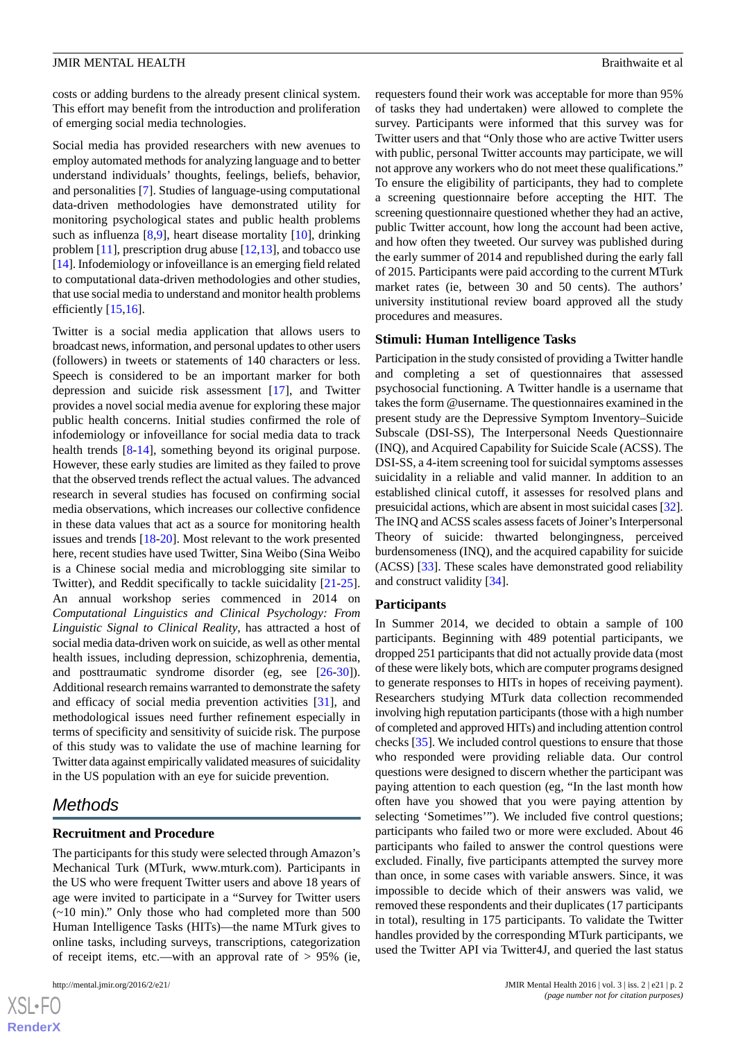costs or adding burdens to the already present clinical system. This effort may benefit from the introduction and proliferation of emerging social media technologies.

Social media has provided researchers with new avenues to employ automated methods for analyzing language and to better understand individuals' thoughts, feelings, beliefs, behavior, and personalities [[7](#page-6-6)]. Studies of language-using computational data-driven methodologies have demonstrated utility for monitoring psychological states and public health problems such as influenza [\[8](#page-6-7),[9\]](#page-6-8), heart disease mortality [[10\]](#page-6-9), drinking problem [\[11](#page-6-10)], prescription drug abuse [[12](#page-6-11)[,13](#page-6-12)], and tobacco use [[14\]](#page-6-13). Infodemiology or infoveillance is an emerging field related to computational data-driven methodologies and other studies, that use social media to understand and monitor health problems efficiently [[15](#page-6-14),[16\]](#page-6-15).

Twitter is a social media application that allows users to broadcast news, information, and personal updates to other users (followers) in tweets or statements of 140 characters or less. Speech is considered to be an important marker for both depression and suicide risk assessment [[17\]](#page-6-16), and Twitter provides a novel social media avenue for exploring these major public health concerns. Initial studies confirmed the role of infodemiology or infoveillance for social media data to track health trends [\[8-](#page-6-7)[14\]](#page-6-13), something beyond its original purpose. However, these early studies are limited as they failed to prove that the observed trends reflect the actual values. The advanced research in several studies has focused on confirming social media observations, which increases our collective confidence in these data values that act as a source for monitoring health issues and trends [\[18](#page-7-0)-[20\]](#page-7-1). Most relevant to the work presented here, recent studies have used Twitter, Sina Weibo (Sina Weibo is a Chinese social media and microblogging site similar to Twitter), and Reddit specifically to tackle suicidality [\[21](#page-7-2)-[25\]](#page-7-3). An annual workshop series commenced in 2014 on *Computational Linguistics and Clinical Psychology: From Linguistic Signal to Clinical Reality*, has attracted a host of social media data-driven work on suicide, as well as other mental health issues, including depression, schizophrenia, dementia, and posttraumatic syndrome disorder (eg, see [\[26](#page-7-4)[-30](#page-7-5)]). Additional research remains warranted to demonstrate the safety and efficacy of social media prevention activities [[31\]](#page-7-6), and methodological issues need further refinement especially in terms of specificity and sensitivity of suicide risk. The purpose of this study was to validate the use of machine learning for Twitter data against empirically validated measures of suicidality in the US population with an eye for suicide prevention.

## *Methods*

### **Recruitment and Procedure**

The participants for this study were selected through Amazon's Mechanical Turk (MTurk, www.mturk.com). Participants in the US who were frequent Twitter users and above 18 years of age were invited to participate in a "Survey for Twitter users (~10 min)." Only those who had completed more than 500 Human Intelligence Tasks (HITs)—the name MTurk gives to online tasks, including surveys, transcriptions, categorization of receipt items, etc.—with an approval rate of  $> 95\%$  (ie,

 $XS$ -FO **[RenderX](http://www.renderx.com/)**

requesters found their work was acceptable for more than 95% of tasks they had undertaken) were allowed to complete the survey. Participants were informed that this survey was for Twitter users and that "Only those who are active Twitter users with public, personal Twitter accounts may participate, we will not approve any workers who do not meet these qualifications." To ensure the eligibility of participants, they had to complete a screening questionnaire before accepting the HIT. The screening questionnaire questioned whether they had an active, public Twitter account, how long the account had been active, and how often they tweeted. Our survey was published during the early summer of 2014 and republished during the early fall of 2015. Participants were paid according to the current MTurk market rates (ie, between 30 and 50 cents). The authors' university institutional review board approved all the study procedures and measures.

### **Stimuli: Human Intelligence Tasks**

Participation in the study consisted of providing a Twitter handle and completing a set of questionnaires that assessed psychosocial functioning. A Twitter handle is a username that takes the form @username. The questionnaires examined in the present study are the Depressive Symptom Inventory–Suicide Subscale (DSI-SS), The Interpersonal Needs Questionnaire (INQ), and Acquired Capability for Suicide Scale (ACSS). The DSI-SS, a 4-item screening tool for suicidal symptoms assesses suicidality in a reliable and valid manner. In addition to an established clinical cutoff, it assesses for resolved plans and presuicidal actions, which are absent in most suicidal cases [\[32](#page-7-7)]. The INQ and ACSS scales assess facets of Joiner's Interpersonal Theory of suicide: thwarted belongingness, perceived burdensomeness (INQ), and the acquired capability for suicide (ACSS) [\[33](#page-7-8)]. These scales have demonstrated good reliability and construct validity [[34\]](#page-7-9).

#### **Participants**

In Summer 2014, we decided to obtain a sample of 100 participants. Beginning with 489 potential participants, we dropped 251 participants that did not actually provide data (most of these were likely bots, which are computer programs designed to generate responses to HITs in hopes of receiving payment). Researchers studying MTurk data collection recommended involving high reputation participants (those with a high number of completed and approved HITs) and including attention control checks [\[35](#page-7-10)]. We included control questions to ensure that those who responded were providing reliable data. Our control questions were designed to discern whether the participant was paying attention to each question (eg, "In the last month how often have you showed that you were paying attention by selecting 'Sometimes'"). We included five control questions; participants who failed two or more were excluded. About 46 participants who failed to answer the control questions were excluded. Finally, five participants attempted the survey more than once, in some cases with variable answers. Since, it was impossible to decide which of their answers was valid, we removed these respondents and their duplicates (17 participants in total), resulting in 175 participants. To validate the Twitter handles provided by the corresponding MTurk participants, we used the Twitter API via Twitter4J, and queried the last status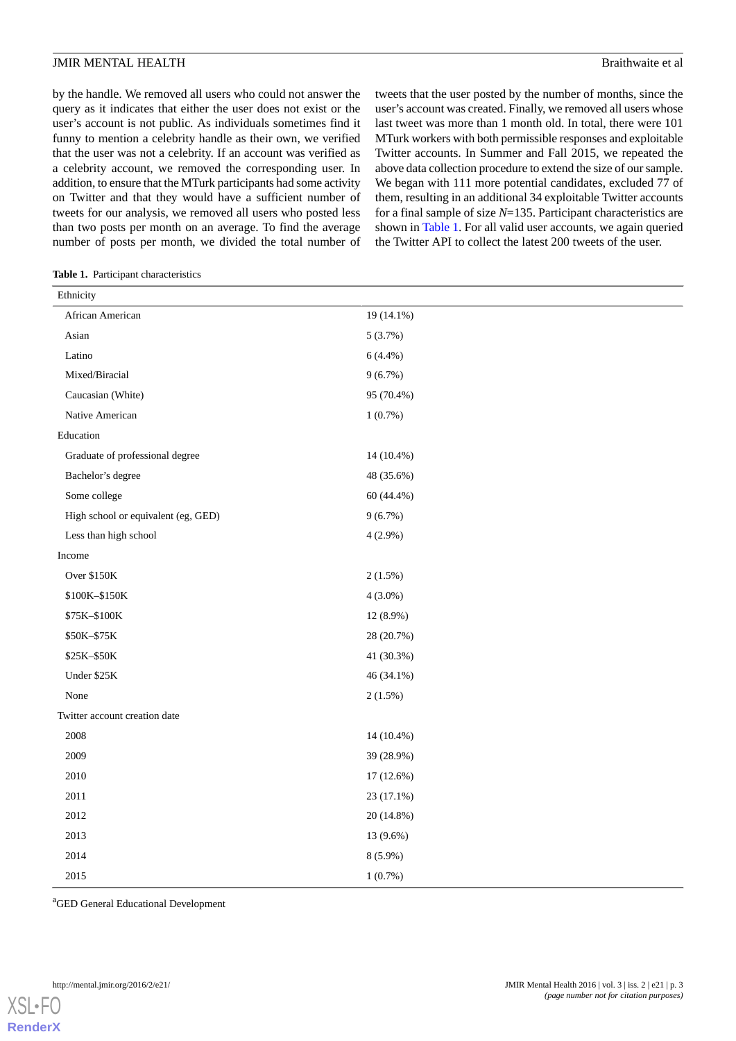by the handle. We removed all users who could not answer the query as it indicates that either the user does not exist or the user's account is not public. As individuals sometimes find it funny to mention a celebrity handle as their own, we verified that the user was not a celebrity. If an account was verified as a celebrity account, we removed the corresponding user. In addition, to ensure that the MTurk participants had some activity on Twitter and that they would have a sufficient number of tweets for our analysis, we removed all users who posted less than two posts per month on an average. To find the average number of posts per month, we divided the total number of tweets that the user posted by the number of months, since the user's account was created. Finally, we removed all users whose last tweet was more than 1 month old. In total, there were 101 MTurk workers with both permissible responses and exploitable Twitter accounts. In Summer and Fall 2015, we repeated the above data collection procedure to extend the size of our sample. We began with 111 more potential candidates, excluded 77 of them, resulting in an additional 34 exploitable Twitter accounts for a final sample of size *N*=135. Participant characteristics are shown in [Table 1](#page-2-0). For all valid user accounts, we again queried the Twitter API to collect the latest 200 tweets of the user.

<span id="page-2-0"></span>**Table 1.** Participant characteristics

| Ethnicity                           |            |
|-------------------------------------|------------|
| African American                    | 19 (14.1%) |
| Asian                               | 5(3.7%)    |
| Latino                              | $6(4.4\%)$ |
| Mixed/Biracial                      | $9(6.7\%)$ |
| Caucasian (White)                   | 95 (70.4%) |
| Native American                     | 1(0.7%)    |
| Education                           |            |
| Graduate of professional degree     | 14 (10.4%) |
| Bachelor's degree                   | 48 (35.6%) |
| Some college                        | 60 (44.4%) |
| High school or equivalent (eg, GED) | 9(6.7%)    |
| Less than high school               | $4(2.9\%)$ |
| Income                              |            |
| Over \$150K                         | $2(1.5\%)$ |
| \$100K-\$150K                       | $4(3.0\%)$ |
| \$75K-\$100K                        | 12 (8.9%)  |
| \$50K-\$75K                         | 28 (20.7%) |
| \$25K-\$50K                         | 41 (30.3%) |
| Under \$25K                         | 46 (34.1%) |
| None                                | $2(1.5\%)$ |
| Twitter account creation date       |            |
| 2008                                | 14 (10.4%) |
| 2009                                | 39 (28.9%) |
| 2010                                | 17 (12.6%) |
| 2011                                | 23 (17.1%) |
| 2012                                | 20 (14.8%) |
| 2013                                | 13 (9.6%)  |
| 2014                                | $8(5.9\%)$ |
| 2015                                | $1(0.7\%)$ |

<sup>a</sup>GED General Educational Development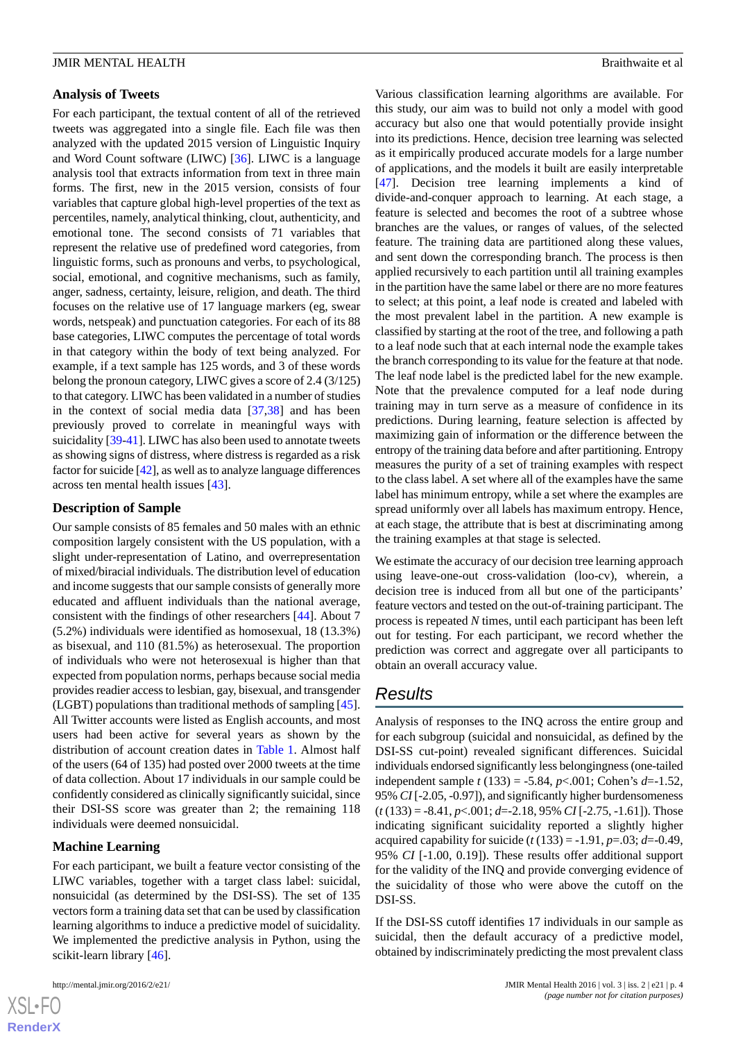### **Analysis of Tweets**

For each participant, the textual content of all of the retrieved tweets was aggregated into a single file. Each file was then analyzed with the updated 2015 version of Linguistic Inquiry and Word Count software (LIWC) [[36\]](#page-7-11). LIWC is a language analysis tool that extracts information from text in three main forms. The first, new in the 2015 version, consists of four variables that capture global high-level properties of the text as percentiles, namely, analytical thinking, clout, authenticity, and emotional tone. The second consists of 71 variables that represent the relative use of predefined word categories, from linguistic forms, such as pronouns and verbs, to psychological, social, emotional, and cognitive mechanisms, such as family, anger, sadness, certainty, leisure, religion, and death. The third focuses on the relative use of 17 language markers (eg, swear words, netspeak) and punctuation categories. For each of its 88 base categories, LIWC computes the percentage of total words in that category within the body of text being analyzed. For example, if a text sample has 125 words, and 3 of these words belong the pronoun category, LIWC gives a score of 2.4 (3/125) to that category. LIWC has been validated in a number of studies in the context of social media data [[37](#page-7-12)[,38](#page-7-13)] and has been previously proved to correlate in meaningful ways with suicidality [\[39](#page-7-14)[-41](#page-7-15)]. LIWC has also been used to annotate tweets as showing signs of distress, where distress is regarded as a risk factor for suicide [\[42](#page-8-0)], as well as to analyze language differences across ten mental health issues [\[43](#page-8-1)].

### **Description of Sample**

Our sample consists of 85 females and 50 males with an ethnic composition largely consistent with the US population, with a slight under-representation of Latino, and overrepresentation of mixed/biracial individuals. The distribution level of education and income suggests that our sample consists of generally more educated and affluent individuals than the national average, consistent with the findings of other researchers [[44\]](#page-8-2). About 7 (5.2%) individuals were identified as homosexual, 18 (13.3%) as bisexual, and 110 (81.5%) as heterosexual. The proportion of individuals who were not heterosexual is higher than that expected from population norms, perhaps because social media provides readier access to lesbian, gay, bisexual, and transgender (LGBT) populations than traditional methods of sampling [[45\]](#page-8-3). All Twitter accounts were listed as English accounts, and most users had been active for several years as shown by the distribution of account creation dates in [Table 1.](#page-2-0) Almost half of the users (64 of 135) had posted over 2000 tweets at the time of data collection. About 17 individuals in our sample could be confidently considered as clinically significantly suicidal, since their DSI-SS score was greater than 2; the remaining 118 individuals were deemed nonsuicidal.

### **Machine Learning**

For each participant, we built a feature vector consisting of the LIWC variables, together with a target class label: suicidal, nonsuicidal (as determined by the DSI-SS). The set of 135 vectors form a training data set that can be used by classification learning algorithms to induce a predictive model of suicidality. We implemented the predictive analysis in Python, using the scikit-learn library [\[46](#page-8-4)].

 $XSI - F($ **[RenderX](http://www.renderx.com/)** Various classification learning algorithms are available. For this study, our aim was to build not only a model with good accuracy but also one that would potentially provide insight into its predictions. Hence, decision tree learning was selected as it empirically produced accurate models for a large number of applications, and the models it built are easily interpretable [[47\]](#page-8-5). Decision tree learning implements a kind of divide-and-conquer approach to learning. At each stage, a feature is selected and becomes the root of a subtree whose branches are the values, or ranges of values, of the selected feature. The training data are partitioned along these values, and sent down the corresponding branch. The process is then applied recursively to each partition until all training examples in the partition have the same label or there are no more features to select; at this point, a leaf node is created and labeled with the most prevalent label in the partition. A new example is classified by starting at the root of the tree, and following a path to a leaf node such that at each internal node the example takes the branch corresponding to its value for the feature at that node. The leaf node label is the predicted label for the new example. Note that the prevalence computed for a leaf node during training may in turn serve as a measure of confidence in its predictions. During learning, feature selection is affected by maximizing gain of information or the difference between the entropy of the training data before and after partitioning. Entropy measures the purity of a set of training examples with respect to the class label. A set where all of the examples have the same label has minimum entropy, while a set where the examples are spread uniformly over all labels has maximum entropy. Hence, at each stage, the attribute that is best at discriminating among the training examples at that stage is selected.

We estimate the accuracy of our decision tree learning approach using leave-one-out cross-validation (loo-cv), wherein, a decision tree is induced from all but one of the participants' feature vectors and tested on the out-of-training participant. The process is repeated *N* times, until each participant has been left out for testing. For each participant, we record whether the prediction was correct and aggregate over all participants to obtain an overall accuracy value.

### *Results*

Analysis of responses to the INQ across the entire group and for each subgroup (suicidal and nonsuicidal, as defined by the DSI-SS cut-point) revealed significant differences. Suicidal individuals endorsed significantly less belongingness (one-tailed independent sample *t* (133) = -5.84, *p*<.001; Cohen's *d*=-1.52, 95% *CI* [-2.05, -0.97]), and significantly higher burdensomeness (*t* (133) = -8.41, *p*<.001; *d*=-2.18, 95% *CI* [-2.75, -1.61]). Those indicating significant suicidality reported a slightly higher acquired capability for suicide  $(t(133) = -1.91, p = .03; d = -0.49,$ 95% *CI* [-1.00, 0.19]). These results offer additional support for the validity of the INQ and provide converging evidence of the suicidality of those who were above the cutoff on the DSI-SS.

If the DSI-SS cutoff identifies 17 individuals in our sample as suicidal, then the default accuracy of a predictive model, obtained by indiscriminately predicting the most prevalent class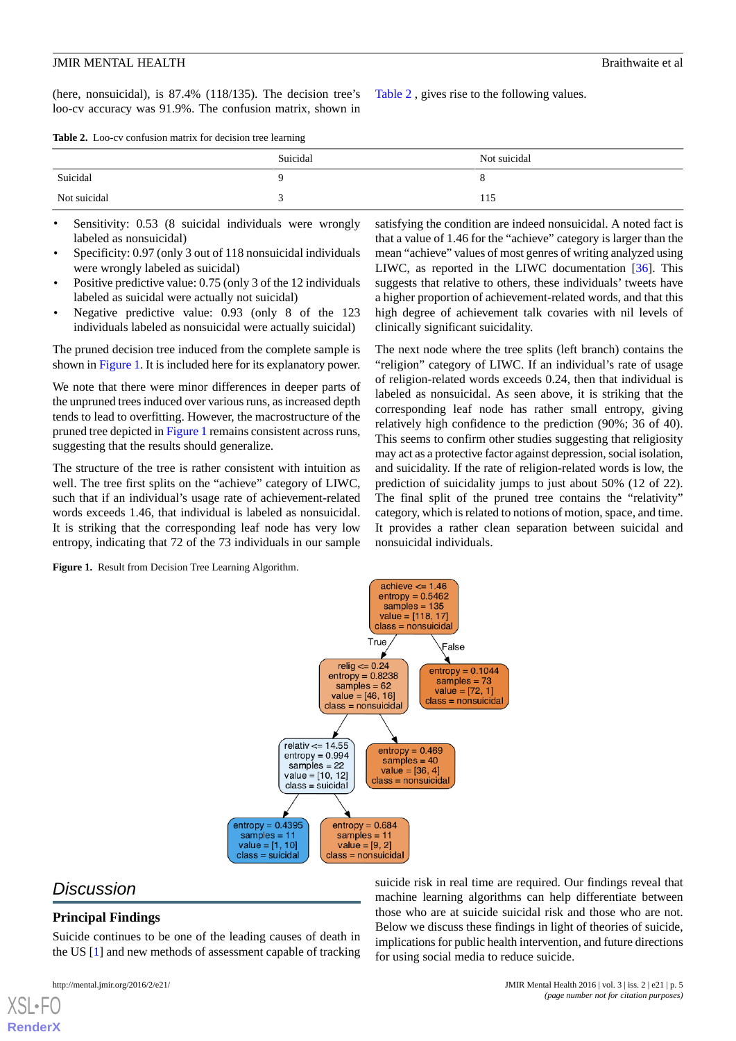(here, nonsuicidal), is 87.4% (118/135). The decision tree's loo-cv accuracy was 91.9%. The confusion matrix, shown in

[Table 2](#page-4-0) , gives rise to the following values.

<span id="page-4-0"></span>

| Table 2. Loo-cv confusion matrix for decision tree learning |
|-------------------------------------------------------------|
|-------------------------------------------------------------|

|              | Suicidal | Not suicidal |
|--------------|----------|--------------|
| Suicidal     |          |              |
| Not suicidal |          | 112          |

- Sensitivity: 0.53 (8 suicidal individuals were wrongly labeled as nonsuicidal)
- Specificity: 0.97 (only 3 out of 118 nonsuicidal individuals were wrongly labeled as suicidal)
- Positive predictive value: 0.75 (only 3 of the 12 individuals labeled as suicidal were actually not suicidal)
- Negative predictive value: 0.93 (only 8 of the 123 individuals labeled as nonsuicidal were actually suicidal)

The pruned decision tree induced from the complete sample is shown in [Figure 1](#page-4-1). It is included here for its explanatory power.

We note that there were minor differences in deeper parts of the unpruned trees induced over various runs, as increased depth tends to lead to overfitting. However, the macrostructure of the pruned tree depicted in [Figure 1](#page-4-1) remains consistent across runs, suggesting that the results should generalize.

<span id="page-4-1"></span>The structure of the tree is rather consistent with intuition as well. The tree first splits on the "achieve" category of LIWC, such that if an individual's usage rate of achievement-related words exceeds 1.46, that individual is labeled as nonsuicidal. It is striking that the corresponding leaf node has very low entropy, indicating that 72 of the 73 individuals in our sample

**Figure 1.** Result from Decision Tree Learning Algorithm.

satisfying the condition are indeed nonsuicidal. A noted fact is that a value of 1.46 for the "achieve" category is larger than the mean "achieve" values of most genres of writing analyzed using LIWC, as reported in the LIWC documentation [\[36](#page-7-11)]. This suggests that relative to others, these individuals' tweets have a higher proportion of achievement-related words, and that this high degree of achievement talk covaries with nil levels of clinically significant suicidality.

The next node where the tree splits (left branch) contains the "religion" category of LIWC. If an individual's rate of usage of religion-related words exceeds 0.24, then that individual is labeled as nonsuicidal. As seen above, it is striking that the corresponding leaf node has rather small entropy, giving relatively high confidence to the prediction (90%; 36 of 40). This seems to confirm other studies suggesting that religiosity may act as a protective factor against depression, social isolation, and suicidality. If the rate of religion-related words is low, the prediction of suicidality jumps to just about 50% (12 of 22). The final split of the pruned tree contains the "relativity" category, which is related to notions of motion, space, and time. It provides a rather clean separation between suicidal and nonsuicidal individuals.



### *Discussion*

### **Principal Findings**

Suicide continues to be one of the leading causes of death in the US [[1](#page-6-0)] and new methods of assessment capable of tracking

[XSL](http://www.w3.org/Style/XSL)•FO **[RenderX](http://www.renderx.com/)**

suicide risk in real time are required. Our findings reveal that machine learning algorithms can help differentiate between those who are at suicide suicidal risk and those who are not. Below we discuss these findings in light of theories of suicide, implications for public health intervention, and future directions for using social media to reduce suicide.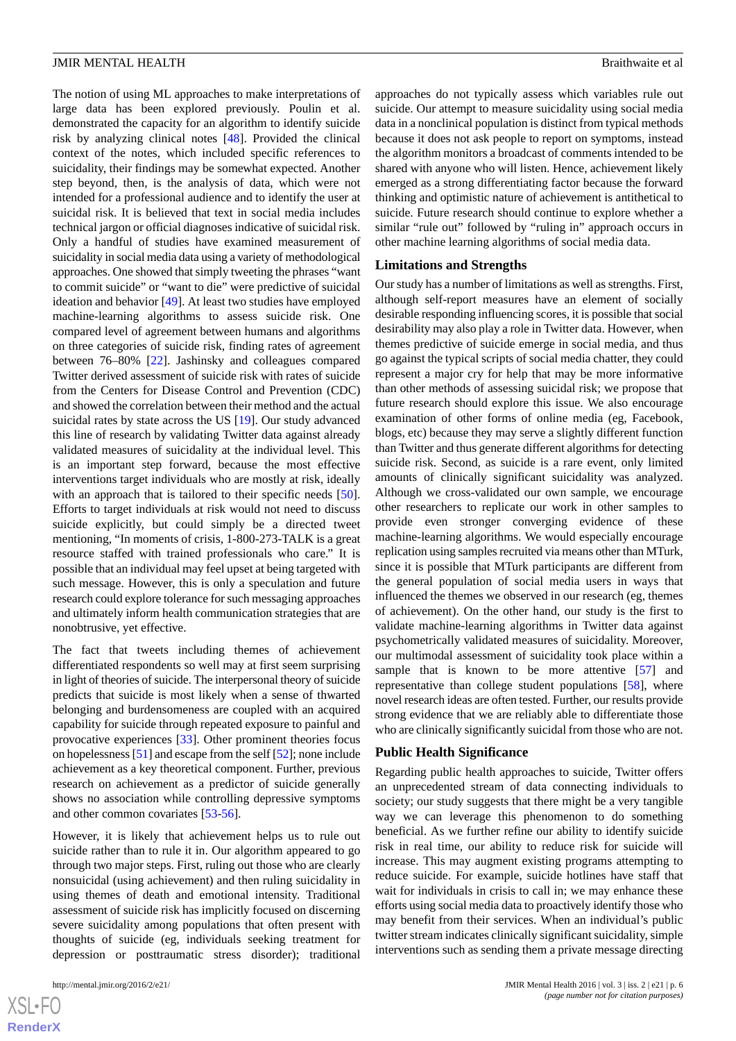The notion of using ML approaches to make interpretations of large data has been explored previously. Poulin et al. demonstrated the capacity for an algorithm to identify suicide risk by analyzing clinical notes [[48\]](#page-8-6). Provided the clinical context of the notes, which included specific references to suicidality, their findings may be somewhat expected. Another step beyond, then, is the analysis of data, which were not intended for a professional audience and to identify the user at suicidal risk. It is believed that text in social media includes technical jargon or official diagnoses indicative of suicidal risk. Only a handful of studies have examined measurement of suicidality in social media data using a variety of methodological approaches. One showed that simply tweeting the phrases "want to commit suicide" or "want to die" were predictive of suicidal ideation and behavior [[49\]](#page-8-7). At least two studies have employed machine-learning algorithms to assess suicide risk. One compared level of agreement between humans and algorithms on three categories of suicide risk, finding rates of agreement between 76–80% [[22\]](#page-7-16). Jashinsky and colleagues compared Twitter derived assessment of suicide risk with rates of suicide from the Centers for Disease Control and Prevention (CDC) and showed the correlation between their method and the actual suicidal rates by state across the US [[19\]](#page-7-17). Our study advanced this line of research by validating Twitter data against already validated measures of suicidality at the individual level. This is an important step forward, because the most effective interventions target individuals who are mostly at risk, ideally with an approach that is tailored to their specific needs [[50\]](#page-8-8). Efforts to target individuals at risk would not need to discuss suicide explicitly, but could simply be a directed tweet mentioning, "In moments of crisis, 1-800-273-TALK is a great resource staffed with trained professionals who care." It is possible that an individual may feel upset at being targeted with such message. However, this is only a speculation and future

The fact that tweets including themes of achievement differentiated respondents so well may at first seem surprising in light of theories of suicide. The interpersonal theory of suicide predicts that suicide is most likely when a sense of thwarted belonging and burdensomeness are coupled with an acquired capability for suicide through repeated exposure to painful and provocative experiences [[33\]](#page-7-8). Other prominent theories focus on hopelessness [\[51](#page-8-9)] and escape from the self [[52\]](#page-8-10); none include achievement as a key theoretical component. Further, previous research on achievement as a predictor of suicide generally shows no association while controlling depressive symptoms and other common covariates [[53](#page-8-11)[-56](#page-8-12)].

research could explore tolerance for such messaging approaches and ultimately inform health communication strategies that are

However, it is likely that achievement helps us to rule out suicide rather than to rule it in. Our algorithm appeared to go through two major steps. First, ruling out those who are clearly nonsuicidal (using achievement) and then ruling suicidality in using themes of death and emotional intensity. Traditional assessment of suicide risk has implicitly focused on discerning severe suicidality among populations that often present with thoughts of suicide (eg, individuals seeking treatment for depression or posttraumatic stress disorder); traditional

nonobtrusive, yet effective.

approaches do not typically assess which variables rule out suicide. Our attempt to measure suicidality using social media data in a nonclinical population is distinct from typical methods because it does not ask people to report on symptoms, instead the algorithm monitors a broadcast of comments intended to be shared with anyone who will listen. Hence, achievement likely emerged as a strong differentiating factor because the forward thinking and optimistic nature of achievement is antithetical to suicide. Future research should continue to explore whether a similar "rule out" followed by "ruling in" approach occurs in other machine learning algorithms of social media data.

#### **Limitations and Strengths**

Our study has a number of limitations as well as strengths. First, although self-report measures have an element of socially desirable responding influencing scores, it is possible that social desirability may also play a role in Twitter data. However, when themes predictive of suicide emerge in social media, and thus go against the typical scripts of social media chatter, they could represent a major cry for help that may be more informative than other methods of assessing suicidal risk; we propose that future research should explore this issue. We also encourage examination of other forms of online media (eg, Facebook, blogs, etc) because they may serve a slightly different function than Twitter and thus generate different algorithms for detecting suicide risk. Second, as suicide is a rare event, only limited amounts of clinically significant suicidality was analyzed. Although we cross-validated our own sample, we encourage other researchers to replicate our work in other samples to provide even stronger converging evidence of these machine-learning algorithms. We would especially encourage replication using samples recruited via means other than MTurk, since it is possible that MTurk participants are different from the general population of social media users in ways that influenced the themes we observed in our research (eg, themes of achievement). On the other hand, our study is the first to validate machine-learning algorithms in Twitter data against psychometrically validated measures of suicidality. Moreover, our multimodal assessment of suicidality took place within a sample that is known to be more attentive [\[57](#page-8-13)] and representative than college student populations [[58\]](#page-8-14), where novel research ideas are often tested. Further, our results provide strong evidence that we are reliably able to differentiate those who are clinically significantly suicidal from those who are not.

#### **Public Health Significance**

Regarding public health approaches to suicide, Twitter offers an unprecedented stream of data connecting individuals to society; our study suggests that there might be a very tangible way we can leverage this phenomenon to do something beneficial. As we further refine our ability to identify suicide risk in real time, our ability to reduce risk for suicide will increase. This may augment existing programs attempting to reduce suicide. For example, suicide hotlines have staff that wait for individuals in crisis to call in; we may enhance these efforts using social media data to proactively identify those who may benefit from their services. When an individual's public twitter stream indicates clinically significant suicidality, simple interventions such as sending them a private message directing

 $XS$ -FO **[RenderX](http://www.renderx.com/)**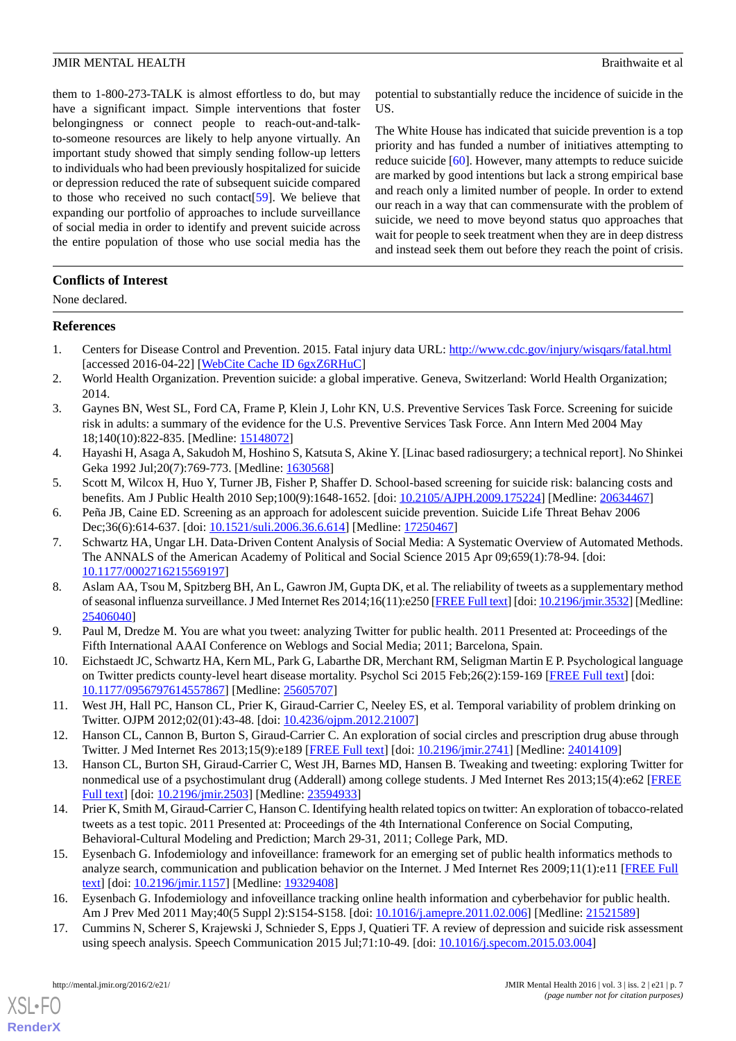them to 1-800-273-TALK is almost effortless to do, but may have a significant impact. Simple interventions that foster belongingness or connect people to reach-out-and-talkto-someone resources are likely to help anyone virtually. An important study showed that simply sending follow-up letters to individuals who had been previously hospitalized for suicide or depression reduced the rate of subsequent suicide compared to those who received no such contact[\[59](#page-8-15)]. We believe that expanding our portfolio of approaches to include surveillance of social media in order to identify and prevent suicide across the entire population of those who use social media has the

potential to substantially reduce the incidence of suicide in the US.

The White House has indicated that suicide prevention is a top priority and has funded a number of initiatives attempting to reduce suicide [\[60](#page-8-16)]. However, many attempts to reduce suicide are marked by good intentions but lack a strong empirical base and reach only a limited number of people. In order to extend our reach in a way that can commensurate with the problem of suicide, we need to move beyond status quo approaches that wait for people to seek treatment when they are in deep distress and instead seek them out before they reach the point of crisis.

### **Conflicts of Interest**

None declared.

### <span id="page-6-0"></span>**References**

- <span id="page-6-1"></span>1. Centers for Disease Control and Prevention. 2015. Fatal injury data URL:<http://www.cdc.gov/injury/wisqars/fatal.html> [accessed 2016-04-22] [\[WebCite Cache ID 6gxZ6RHuC\]](http://www.webcitation.org/

                                6gxZ6RHuC)
- <span id="page-6-2"></span>2. World Health Organization. Prevention suicide: a global imperative. Geneva, Switzerland: World Health Organization; 2014.
- <span id="page-6-3"></span>3. Gaynes BN, West SL, Ford CA, Frame P, Klein J, Lohr KN, U.S. Preventive Services Task Force. Screening for suicide risk in adults: a summary of the evidence for the U.S. Preventive Services Task Force. Ann Intern Med 2004 May 18;140(10):822-835. [Medline: [15148072](http://www.ncbi.nlm.nih.gov/entrez/query.fcgi?cmd=Retrieve&db=PubMed&list_uids=15148072&dopt=Abstract)]
- <span id="page-6-5"></span><span id="page-6-4"></span>4. Hayashi H, Asaga A, Sakudoh M, Hoshino S, Katsuta S, Akine Y. [Linac based radiosurgery; a technical report]. No Shinkei Geka 1992 Jul;20(7):769-773. [Medline: [1630568\]](http://www.ncbi.nlm.nih.gov/entrez/query.fcgi?cmd=Retrieve&db=PubMed&list_uids=1630568&dopt=Abstract)
- <span id="page-6-6"></span>5. Scott M, Wilcox H, Huo Y, Turner JB, Fisher P, Shaffer D. School-based screening for suicide risk: balancing costs and benefits. Am J Public Health 2010 Sep;100(9):1648-1652. [doi: [10.2105/AJPH.2009.175224\]](http://dx.doi.org/10.2105/AJPH.2009.175224) [Medline: [20634467\]](http://www.ncbi.nlm.nih.gov/entrez/query.fcgi?cmd=Retrieve&db=PubMed&list_uids=20634467&dopt=Abstract)
- 6. Peña JB, Caine ED. Screening as an approach for adolescent suicide prevention. Suicide Life Threat Behav 2006 Dec;36(6):614-637. [doi: [10.1521/suli.2006.36.6.614](http://dx.doi.org/10.1521/suli.2006.36.6.614)] [Medline: [17250467](http://www.ncbi.nlm.nih.gov/entrez/query.fcgi?cmd=Retrieve&db=PubMed&list_uids=17250467&dopt=Abstract)]
- <span id="page-6-7"></span>7. Schwartz HA, Ungar LH. Data-Driven Content Analysis of Social Media: A Systematic Overview of Automated Methods. The ANNALS of the American Academy of Political and Social Science 2015 Apr 09;659(1):78-94. [doi: [10.1177/0002716215569197\]](http://dx.doi.org/10.1177/0002716215569197)
- <span id="page-6-9"></span><span id="page-6-8"></span>8. Aslam AA, Tsou M, Spitzberg BH, An L, Gawron JM, Gupta DK, et al. The reliability of tweets as a supplementary method of seasonal influenza surveillance. J Med Internet Res 2014;16(11):e250 [\[FREE Full text\]](http://www.jmir.org/2014/11/e250/) [doi: [10.2196/jmir.3532\]](http://dx.doi.org/10.2196/jmir.3532) [Medline: [25406040](http://www.ncbi.nlm.nih.gov/entrez/query.fcgi?cmd=Retrieve&db=PubMed&list_uids=25406040&dopt=Abstract)]
- <span id="page-6-10"></span>9. Paul M, Dredze M. You are what you tweet: analyzing Twitter for public health. 2011 Presented at: Proceedings of the Fifth International AAAI Conference on Weblogs and Social Media; 2011; Barcelona, Spain.
- <span id="page-6-11"></span>10. Eichstaedt JC, Schwartz HA, Kern ML, Park G, Labarthe DR, Merchant RM, Seligman Martin E P. Psychological language on Twitter predicts county-level heart disease mortality. Psychol Sci 2015 Feb;26(2):159-169 [[FREE Full text](http://europepmc.org/abstract/MED/25605707)] [doi: [10.1177/0956797614557867\]](http://dx.doi.org/10.1177/0956797614557867) [Medline: [25605707\]](http://www.ncbi.nlm.nih.gov/entrez/query.fcgi?cmd=Retrieve&db=PubMed&list_uids=25605707&dopt=Abstract)
- <span id="page-6-12"></span>11. West JH, Hall PC, Hanson CL, Prier K, Giraud-Carrier C, Neeley ES, et al. Temporal variability of problem drinking on Twitter. OJPM 2012;02(01):43-48. [doi: [10.4236/ojpm.2012.21007\]](http://dx.doi.org/10.4236/ojpm.2012.21007)
- <span id="page-6-13"></span>12. Hanson CL, Cannon B, Burton S, Giraud-Carrier C. An exploration of social circles and prescription drug abuse through Twitter. J Med Internet Res 2013;15(9):e189 [\[FREE Full text\]](http://www.jmir.org/2013/9/e189/) [doi: [10.2196/jmir.2741\]](http://dx.doi.org/10.2196/jmir.2741) [Medline: [24014109\]](http://www.ncbi.nlm.nih.gov/entrez/query.fcgi?cmd=Retrieve&db=PubMed&list_uids=24014109&dopt=Abstract)
- <span id="page-6-14"></span>13. Hanson CL, Burton SH, Giraud-Carrier C, West JH, Barnes MD, Hansen B. Tweaking and tweeting: exploring Twitter for nonmedical use of a psychostimulant drug (Adderall) among college students. J Med Internet Res 2013;15(4):e62 [[FREE](http://www.jmir.org/2013/4/e62/) [Full text\]](http://www.jmir.org/2013/4/e62/) [doi: [10.2196/jmir.2503](http://dx.doi.org/10.2196/jmir.2503)] [Medline: [23594933\]](http://www.ncbi.nlm.nih.gov/entrez/query.fcgi?cmd=Retrieve&db=PubMed&list_uids=23594933&dopt=Abstract)
- <span id="page-6-15"></span>14. Prier K, Smith M, Giraud-Carrier C, Hanson C. Identifying health related topics on twitter: An exploration of tobacco-related tweets as a test topic. 2011 Presented at: Proceedings of the 4th International Conference on Social Computing, Behavioral-Cultural Modeling and Prediction; March 29-31, 2011; College Park, MD.
- <span id="page-6-16"></span>15. Eysenbach G. Infodemiology and infoveillance: framework for an emerging set of public health informatics methods to analyze search, communication and publication behavior on the Internet. J Med Internet Res 2009;11(1):e11 [[FREE Full](http://www.jmir.org/2009/1/e11/) [text](http://www.jmir.org/2009/1/e11/)] [doi: [10.2196/jmir.1157](http://dx.doi.org/10.2196/jmir.1157)] [Medline: [19329408](http://www.ncbi.nlm.nih.gov/entrez/query.fcgi?cmd=Retrieve&db=PubMed&list_uids=19329408&dopt=Abstract)]
- 16. Eysenbach G. Infodemiology and infoveillance tracking online health information and cyberbehavior for public health. Am J Prev Med 2011 May;40(5 Suppl 2):S154-S158. [doi: [10.1016/j.amepre.2011.02.006](http://dx.doi.org/10.1016/j.amepre.2011.02.006)] [Medline: [21521589](http://www.ncbi.nlm.nih.gov/entrez/query.fcgi?cmd=Retrieve&db=PubMed&list_uids=21521589&dopt=Abstract)]
- 17. Cummins N, Scherer S, Krajewski J, Schnieder S, Epps J, Quatieri TF. A review of depression and suicide risk assessment using speech analysis. Speech Communication 2015 Jul;71:10-49. [doi: [10.1016/j.specom.2015.03.004](http://dx.doi.org/10.1016/j.specom.2015.03.004)]

[XSL](http://www.w3.org/Style/XSL)•FO **[RenderX](http://www.renderx.com/)**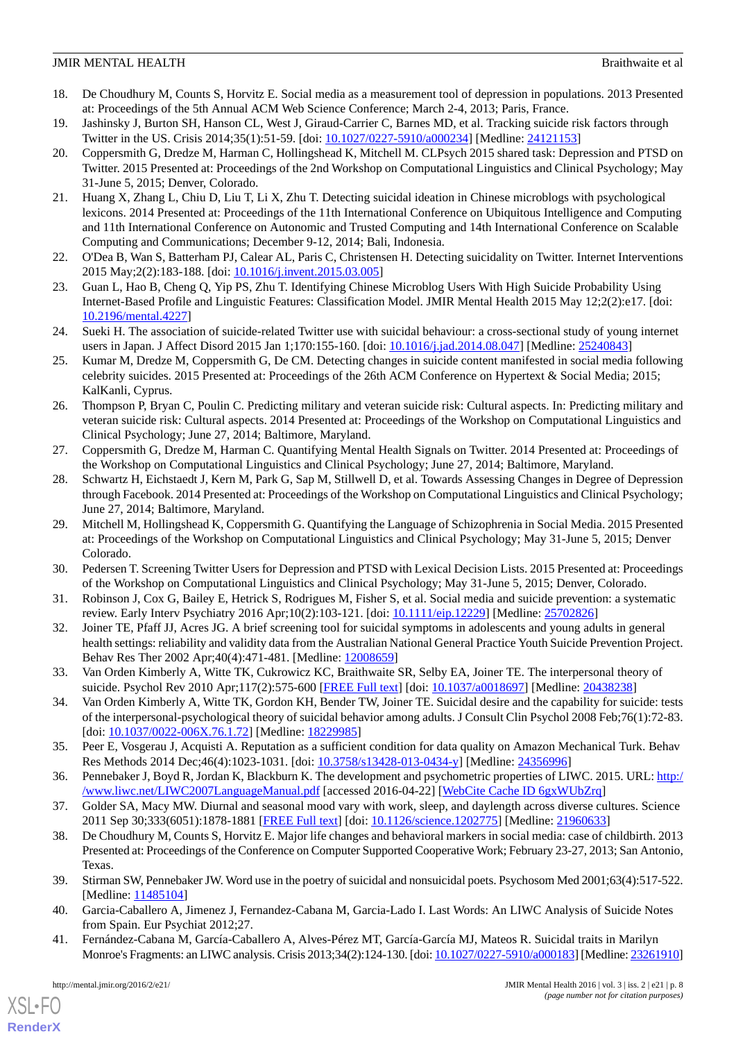- <span id="page-7-0"></span>18. De Choudhury M, Counts S, Horvitz E. Social media as a measurement tool of depression in populations. 2013 Presented at: Proceedings of the 5th Annual ACM Web Science Conference; March 2-4, 2013; Paris, France.
- <span id="page-7-17"></span>19. Jashinsky J, Burton SH, Hanson CL, West J, Giraud-Carrier C, Barnes MD, et al. Tracking suicide risk factors through Twitter in the US. Crisis 2014;35(1):51-59. [doi: [10.1027/0227-5910/a000234](http://dx.doi.org/10.1027/0227-5910/a000234)] [Medline: [24121153\]](http://www.ncbi.nlm.nih.gov/entrez/query.fcgi?cmd=Retrieve&db=PubMed&list_uids=24121153&dopt=Abstract)
- <span id="page-7-1"></span>20. Coppersmith G, Dredze M, Harman C, Hollingshead K, Mitchell M. CLPsych 2015 shared task: Depression and PTSD on Twitter. 2015 Presented at: Proceedings of the 2nd Workshop on Computational Linguistics and Clinical Psychology; May 31-June 5, 2015; Denver, Colorado.
- <span id="page-7-2"></span>21. Huang X, Zhang L, Chiu D, Liu T, Li X, Zhu T. Detecting suicidal ideation in Chinese microblogs with psychological lexicons. 2014 Presented at: Proceedings of the 11th International Conference on Ubiquitous Intelligence and Computing and 11th International Conference on Autonomic and Trusted Computing and 14th International Conference on Scalable Computing and Communications; December 9-12, 2014; Bali, Indonesia.
- <span id="page-7-16"></span>22. O'Dea B, Wan S, Batterham PJ, Calear AL, Paris C, Christensen H. Detecting suicidality on Twitter. Internet Interventions 2015 May;2(2):183-188. [doi: [10.1016/j.invent.2015.03.005\]](http://dx.doi.org/10.1016/j.invent.2015.03.005)
- 23. Guan L, Hao B, Cheng Q, Yip PS, Zhu T. Identifying Chinese Microblog Users With High Suicide Probability Using Internet-Based Profile and Linguistic Features: Classification Model. JMIR Mental Health 2015 May 12;2(2):e17. [doi: [10.2196/mental.4227\]](http://dx.doi.org/10.2196/mental.4227)
- <span id="page-7-3"></span>24. Sueki H. The association of suicide-related Twitter use with suicidal behaviour: a cross-sectional study of young internet users in Japan. J Affect Disord 2015 Jan 1;170:155-160. [doi: [10.1016/j.jad.2014.08.047](http://dx.doi.org/10.1016/j.jad.2014.08.047)] [Medline: [25240843](http://www.ncbi.nlm.nih.gov/entrez/query.fcgi?cmd=Retrieve&db=PubMed&list_uids=25240843&dopt=Abstract)]
- <span id="page-7-4"></span>25. Kumar M, Dredze M, Coppersmith G, De CM. Detecting changes in suicide content manifested in social media following celebrity suicides. 2015 Presented at: Proceedings of the 26th ACM Conference on Hypertext & Social Media; 2015; KalKanli, Cyprus.
- 26. Thompson P, Bryan C, Poulin C. Predicting military and veteran suicide risk: Cultural aspects. In: Predicting military and veteran suicide risk: Cultural aspects. 2014 Presented at: Proceedings of the Workshop on Computational Linguistics and Clinical Psychology; June 27, 2014; Baltimore, Maryland.
- 27. Coppersmith G, Dredze M, Harman C. Quantifying Mental Health Signals on Twitter. 2014 Presented at: Proceedings of the Workshop on Computational Linguistics and Clinical Psychology; June 27, 2014; Baltimore, Maryland.
- 28. Schwartz H, Eichstaedt J, Kern M, Park G, Sap M, Stillwell D, et al. Towards Assessing Changes in Degree of Depression through Facebook. 2014 Presented at: Proceedings of the Workshop on Computational Linguistics and Clinical Psychology; June 27, 2014; Baltimore, Maryland.
- <span id="page-7-6"></span><span id="page-7-5"></span>29. Mitchell M, Hollingshead K, Coppersmith G. Quantifying the Language of Schizophrenia in Social Media. 2015 Presented at: Proceedings of the Workshop on Computational Linguistics and Clinical Psychology; May 31-June 5, 2015; Denver Colorado.
- <span id="page-7-7"></span>30. Pedersen T. Screening Twitter Users for Depression and PTSD with Lexical Decision Lists. 2015 Presented at: Proceedings of the Workshop on Computational Linguistics and Clinical Psychology; May 31-June 5, 2015; Denver, Colorado.
- <span id="page-7-8"></span>31. Robinson J, Cox G, Bailey E, Hetrick S, Rodrigues M, Fisher S, et al. Social media and suicide prevention: a systematic review. Early Interv Psychiatry 2016 Apr;10(2):103-121. [doi: [10.1111/eip.12229\]](http://dx.doi.org/10.1111/eip.12229) [Medline: [25702826\]](http://www.ncbi.nlm.nih.gov/entrez/query.fcgi?cmd=Retrieve&db=PubMed&list_uids=25702826&dopt=Abstract)
- <span id="page-7-9"></span>32. Joiner TE, Pfaff JJ, Acres JG. A brief screening tool for suicidal symptoms in adolescents and young adults in general health settings: reliability and validity data from the Australian National General Practice Youth Suicide Prevention Project. Behav Res Ther 2002 Apr;40(4):471-481. [Medline: [12008659\]](http://www.ncbi.nlm.nih.gov/entrez/query.fcgi?cmd=Retrieve&db=PubMed&list_uids=12008659&dopt=Abstract)
- <span id="page-7-10"></span>33. Van Orden Kimberly A, Witte TK, Cukrowicz KC, Braithwaite SR, Selby EA, Joiner TE. The interpersonal theory of suicide. Psychol Rev 2010 Apr;117(2):575-600 [[FREE Full text](http://europepmc.org/abstract/MED/20438238)] [doi: [10.1037/a0018697](http://dx.doi.org/10.1037/a0018697)] [Medline: [20438238\]](http://www.ncbi.nlm.nih.gov/entrez/query.fcgi?cmd=Retrieve&db=PubMed&list_uids=20438238&dopt=Abstract)
- <span id="page-7-11"></span>34. Van Orden Kimberly A, Witte TK, Gordon KH, Bender TW, Joiner TE. Suicidal desire and the capability for suicide: tests of the interpersonal-psychological theory of suicidal behavior among adults. J Consult Clin Psychol 2008 Feb;76(1):72-83. [doi: [10.1037/0022-006X.76.1.72](http://dx.doi.org/10.1037/0022-006X.76.1.72)] [Medline: [18229985](http://www.ncbi.nlm.nih.gov/entrez/query.fcgi?cmd=Retrieve&db=PubMed&list_uids=18229985&dopt=Abstract)]
- <span id="page-7-13"></span><span id="page-7-12"></span>35. Peer E, Vosgerau J, Acquisti A. Reputation as a sufficient condition for data quality on Amazon Mechanical Turk. Behav Res Methods 2014 Dec;46(4):1023-1031. [doi: [10.3758/s13428-013-0434-y](http://dx.doi.org/10.3758/s13428-013-0434-y)] [Medline: [24356996\]](http://www.ncbi.nlm.nih.gov/entrez/query.fcgi?cmd=Retrieve&db=PubMed&list_uids=24356996&dopt=Abstract)
- 36. Pennebaker J, Boyd R, Jordan K, Blackburn K. The development and psychometric properties of LIWC. 2015. URL: [http:/](http://www.liwc.net/LIWC2007LanguageManual.pdf) [/www.liwc.net/LIWC2007LanguageManual.pdf](http://www.liwc.net/LIWC2007LanguageManual.pdf) [accessed 2016-04-22] [\[WebCite Cache ID 6gxWUbZrq\]](http://www.webcitation.org/

                                6gxWUbZrq)
- <span id="page-7-14"></span>37. Golder SA, Macy MW. Diurnal and seasonal mood vary with work, sleep, and daylength across diverse cultures. Science 2011 Sep 30;333(6051):1878-1881 [[FREE Full text](http://www.sciencemag.org/cgi/pmidlookup?view=long&pmid=21960633)] [doi: [10.1126/science.1202775\]](http://dx.doi.org/10.1126/science.1202775) [Medline: [21960633](http://www.ncbi.nlm.nih.gov/entrez/query.fcgi?cmd=Retrieve&db=PubMed&list_uids=21960633&dopt=Abstract)]
- <span id="page-7-15"></span>38. De Choudhury M, Counts S, Horvitz E. Major life changes and behavioral markers in social media: case of childbirth. 2013 Presented at: Proceedings of the Conference on Computer Supported Cooperative Work; February 23-27, 2013; San Antonio, Texas.
- 39. Stirman SW, Pennebaker JW. Word use in the poetry of suicidal and nonsuicidal poets. Psychosom Med 2001;63(4):517-522. [Medline: [11485104](http://www.ncbi.nlm.nih.gov/entrez/query.fcgi?cmd=Retrieve&db=PubMed&list_uids=11485104&dopt=Abstract)]
- 40. Garcia-Caballero A, Jimenez J, Fernandez-Cabana M, Garcia-Lado I. Last Words: An LIWC Analysis of Suicide Notes from Spain. Eur Psychiat 2012;27.
- 41. Fernández-Cabana M, García-Caballero A, Alves-Pérez MT, García-García MJ, Mateos R. Suicidal traits in Marilyn Monroe's Fragments: an LIWC analysis. Crisis 2013;34(2):124-130. [doi: [10.1027/0227-5910/a000183\]](http://dx.doi.org/10.1027/0227-5910/a000183) [Medline: [23261910\]](http://www.ncbi.nlm.nih.gov/entrez/query.fcgi?cmd=Retrieve&db=PubMed&list_uids=23261910&dopt=Abstract)

[XSL](http://www.w3.org/Style/XSL)•FO **[RenderX](http://www.renderx.com/)**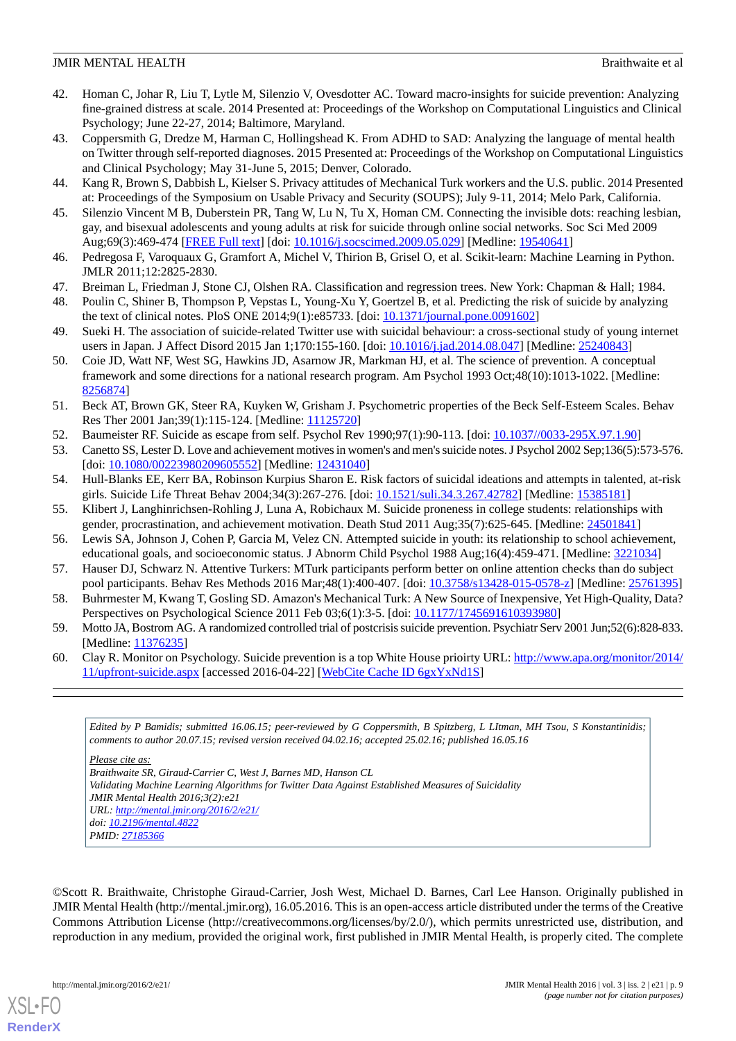- <span id="page-8-0"></span>42. Homan C, Johar R, Liu T, Lytle M, Silenzio V, Ovesdotter AC. Toward macro-insights for suicide prevention: Analyzing fine-grained distress at scale. 2014 Presented at: Proceedings of the Workshop on Computational Linguistics and Clinical Psychology; June 22-27, 2014; Baltimore, Maryland.
- <span id="page-8-1"></span>43. Coppersmith G, Dredze M, Harman C, Hollingshead K. From ADHD to SAD: Analyzing the language of mental health on Twitter through self-reported diagnoses. 2015 Presented at: Proceedings of the Workshop on Computational Linguistics and Clinical Psychology; May 31-June 5, 2015; Denver, Colorado.
- <span id="page-8-3"></span><span id="page-8-2"></span>44. Kang R, Brown S, Dabbish L, Kielser S. Privacy attitudes of Mechanical Turk workers and the U.S. public. 2014 Presented at: Proceedings of the Symposium on Usable Privacy and Security (SOUPS); July 9-11, 2014; Melo Park, California.
- <span id="page-8-4"></span>45. Silenzio Vincent M B, Duberstein PR, Tang W, Lu N, Tu X, Homan CM. Connecting the invisible dots: reaching lesbian, gay, and bisexual adolescents and young adults at risk for suicide through online social networks. Soc Sci Med 2009 Aug;69(3):469-474 [\[FREE Full text](http://europepmc.org/abstract/MED/19540641)] [doi: [10.1016/j.socscimed.2009.05.029](http://dx.doi.org/10.1016/j.socscimed.2009.05.029)] [Medline: [19540641](http://www.ncbi.nlm.nih.gov/entrez/query.fcgi?cmd=Retrieve&db=PubMed&list_uids=19540641&dopt=Abstract)]
- <span id="page-8-6"></span><span id="page-8-5"></span>46. Pedregosa F, Varoquaux G, Gramfort A, Michel V, Thirion B, Grisel O, et al. Scikit-learn: Machine Learning in Python. JMLR 2011;12:2825-2830.
- 47. Breiman L, Friedman J, Stone CJ, Olshen RA. Classification and regression trees. New York: Chapman & Hall; 1984.
- <span id="page-8-7"></span>48. Poulin C, Shiner B, Thompson P, Vepstas L, Young-Xu Y, Goertzel B, et al. Predicting the risk of suicide by analyzing the text of clinical notes. PloS ONE 2014;9(1):e85733. [doi: [10.1371/journal.pone.0091602](http://dx.doi.org/10.1371/journal.pone.0091602)]
- <span id="page-8-8"></span>49. Sueki H. The association of suicide-related Twitter use with suicidal behaviour: a cross-sectional study of young internet users in Japan. J Affect Disord 2015 Jan 1;170:155-160. [doi: [10.1016/j.jad.2014.08.047](http://dx.doi.org/10.1016/j.jad.2014.08.047)] [Medline: [25240843](http://www.ncbi.nlm.nih.gov/entrez/query.fcgi?cmd=Retrieve&db=PubMed&list_uids=25240843&dopt=Abstract)]
- <span id="page-8-9"></span>50. Coie JD, Watt NF, West SG, Hawkins JD, Asarnow JR, Markman HJ, et al. The science of prevention. A conceptual framework and some directions for a national research program. Am Psychol 1993 Oct;48(10):1013-1022. [Medline: [8256874\]](http://www.ncbi.nlm.nih.gov/entrez/query.fcgi?cmd=Retrieve&db=PubMed&list_uids=8256874&dopt=Abstract)
- <span id="page-8-11"></span><span id="page-8-10"></span>51. Beck AT, Brown GK, Steer RA, Kuyken W, Grisham J. Psychometric properties of the Beck Self-Esteem Scales. Behav Res Ther 2001 Jan;39(1):115-124. [Medline: [11125720\]](http://www.ncbi.nlm.nih.gov/entrez/query.fcgi?cmd=Retrieve&db=PubMed&list_uids=11125720&dopt=Abstract)
- 52. Baumeister RF. Suicide as escape from self. Psychol Rev 1990;97(1):90-113. [doi: [10.1037//0033-295X.97.1.90](http://dx.doi.org/10.1037//0033-295X.97.1.90)]
- 53. Canetto SS, Lester D. Love and achievement motives in women's and men's suicide notes. J Psychol 2002 Sep;136(5):573-576. [doi: [10.1080/00223980209605552](http://dx.doi.org/10.1080/00223980209605552)] [Medline: [12431040\]](http://www.ncbi.nlm.nih.gov/entrez/query.fcgi?cmd=Retrieve&db=PubMed&list_uids=12431040&dopt=Abstract)
- <span id="page-8-12"></span>54. Hull-Blanks EE, Kerr BA, Robinson Kurpius Sharon E. Risk factors of suicidal ideations and attempts in talented, at-risk girls. Suicide Life Threat Behav 2004;34(3):267-276. [doi: [10.1521/suli.34.3.267.42782](http://dx.doi.org/10.1521/suli.34.3.267.42782)] [Medline: [15385181\]](http://www.ncbi.nlm.nih.gov/entrez/query.fcgi?cmd=Retrieve&db=PubMed&list_uids=15385181&dopt=Abstract)
- <span id="page-8-13"></span>55. Klibert J, Langhinrichsen-Rohling J, Luna A, Robichaux M. Suicide proneness in college students: relationships with gender, procrastination, and achievement motivation. Death Stud 2011 Aug;35(7):625-645. [Medline: [24501841](http://www.ncbi.nlm.nih.gov/entrez/query.fcgi?cmd=Retrieve&db=PubMed&list_uids=24501841&dopt=Abstract)]
- <span id="page-8-14"></span>56. Lewis SA, Johnson J, Cohen P, Garcia M, Velez CN. Attempted suicide in youth: its relationship to school achievement, educational goals, and socioeconomic status. J Abnorm Child Psychol 1988 Aug;16(4):459-471. [Medline: [3221034\]](http://www.ncbi.nlm.nih.gov/entrez/query.fcgi?cmd=Retrieve&db=PubMed&list_uids=3221034&dopt=Abstract)
- <span id="page-8-15"></span>57. Hauser DJ, Schwarz N. Attentive Turkers: MTurk participants perform better on online attention checks than do subject pool participants. Behav Res Methods 2016 Mar;48(1):400-407. [doi: [10.3758/s13428-015-0578-z](http://dx.doi.org/10.3758/s13428-015-0578-z)] [Medline: [25761395\]](http://www.ncbi.nlm.nih.gov/entrez/query.fcgi?cmd=Retrieve&db=PubMed&list_uids=25761395&dopt=Abstract)
- <span id="page-8-16"></span>58. Buhrmester M, Kwang T, Gosling SD. Amazon's Mechanical Turk: A New Source of Inexpensive, Yet High-Quality, Data? Perspectives on Psychological Science 2011 Feb 03;6(1):3-5. [doi: [10.1177/1745691610393980](http://dx.doi.org/10.1177/1745691610393980)]
- 59. Motto JA, Bostrom AG. A randomized controlled trial of postcrisis suicide prevention. Psychiatr Serv 2001 Jun;52(6):828-833. [Medline: [11376235](http://www.ncbi.nlm.nih.gov/entrez/query.fcgi?cmd=Retrieve&db=PubMed&list_uids=11376235&dopt=Abstract)]
- 60. Clay R. Monitor on Psychology. Suicide prevention is a top White House prioirty URL: [http://www.apa.org/monitor/2014/](http://www.apa.org/monitor/2014/11/upfront-suicide.aspx) [11/upfront-suicide.aspx](http://www.apa.org/monitor/2014/11/upfront-suicide.aspx) [accessed 2016-04-22] [\[WebCite Cache ID 6gxYxNd1S](http://www.webcitation.org/

                                6gxYxNd1S)]

*Edited by P Bamidis; submitted 16.06.15; peer-reviewed by G Coppersmith, B Spitzberg, L LItman, MH Tsou, S Konstantinidis; comments to author 20.07.15; revised version received 04.02.16; accepted 25.02.16; published 16.05.16*

#### *Please cite as:*

*Braithwaite SR, Giraud-Carrier C, West J, Barnes MD, Hanson CL Validating Machine Learning Algorithms for Twitter Data Against Established Measures of Suicidality JMIR Mental Health 2016;3(2):e21 URL: <http://mental.jmir.org/2016/2/e21/> doi: [10.2196/mental.4822](http://dx.doi.org/10.2196/mental.4822) PMID: [27185366](http://www.ncbi.nlm.nih.gov/entrez/query.fcgi?cmd=Retrieve&db=PubMed&list_uids=27185366&dopt=Abstract)*

©Scott R. Braithwaite, Christophe Giraud-Carrier, Josh West, Michael D. Barnes, Carl Lee Hanson. Originally published in JMIR Mental Health (http://mental.jmir.org), 16.05.2016. This is an open-access article distributed under the terms of the Creative Commons Attribution License (http://creativecommons.org/licenses/by/2.0/), which permits unrestricted use, distribution, and reproduction in any medium, provided the original work, first published in JMIR Mental Health, is properly cited. The complete

[XSL](http://www.w3.org/Style/XSL)•FO **[RenderX](http://www.renderx.com/)**